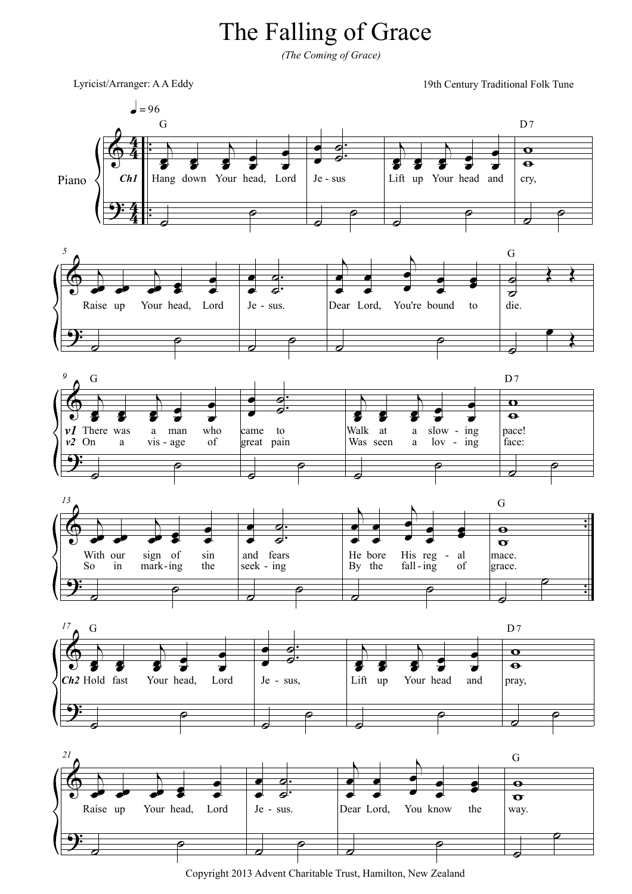## The Falling of Grace

*(The Coming of Grace)*

Lyricist/Arranger: A A Eddy

19th Century Traditional Folk Tune